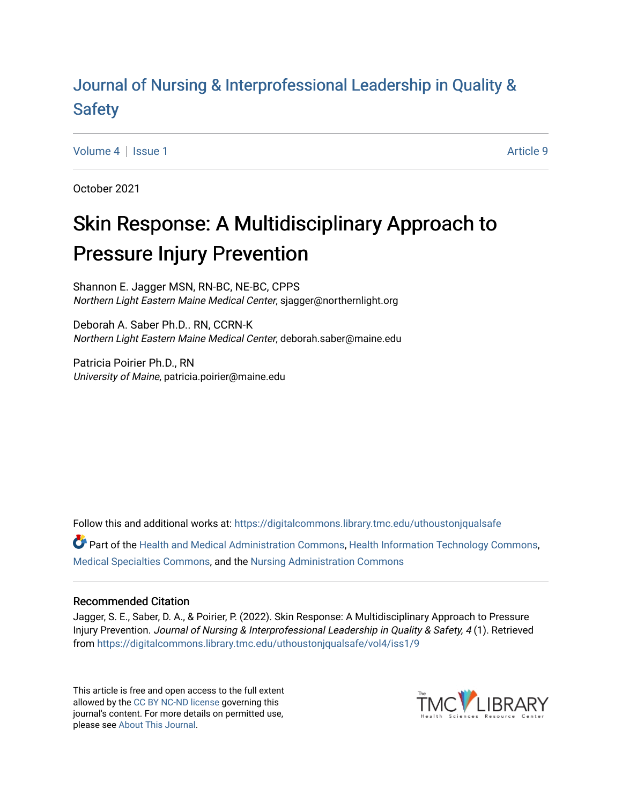# [Journal of Nursing & Interprofessional Leadership in Quality &](https://digitalcommons.library.tmc.edu/uthoustonjqualsafe) [Safety](https://digitalcommons.library.tmc.edu/uthoustonjqualsafe)

[Volume 4](https://digitalcommons.library.tmc.edu/uthoustonjqualsafe/vol4) | [Issue 1](https://digitalcommons.library.tmc.edu/uthoustonjqualsafe/vol4/iss1) Article 9

October 2021

# Skin Response: A Multidisciplinary Approach to Pressure Injury Prevention

Shannon E. Jagger MSN, RN-BC, NE-BC, CPPS Northern Light Eastern Maine Medical Center, sjagger@northernlight.org

Deborah A. Saber Ph.D.. RN, CCRN-K Northern Light Eastern Maine Medical Center, deborah.saber@maine.edu

Patricia Poirier Ph.D., RN University of Maine, patricia.poirier@maine.edu

Follow this and additional works at: [https://digitalcommons.library.tmc.edu/uthoustonjqualsafe](https://digitalcommons.library.tmc.edu/uthoustonjqualsafe?utm_source=digitalcommons.library.tmc.edu%2Futhoustonjqualsafe%2Fvol4%2Fiss1%2F9&utm_medium=PDF&utm_campaign=PDFCoverPages) 

Part of the [Health and Medical Administration Commons](https://network.bepress.com/hgg/discipline/663?utm_source=digitalcommons.library.tmc.edu%2Futhoustonjqualsafe%2Fvol4%2Fiss1%2F9&utm_medium=PDF&utm_campaign=PDFCoverPages), [Health Information Technology Commons,](https://network.bepress.com/hgg/discipline/1239?utm_source=digitalcommons.library.tmc.edu%2Futhoustonjqualsafe%2Fvol4%2Fiss1%2F9&utm_medium=PDF&utm_campaign=PDFCoverPages) [Medical Specialties Commons,](https://network.bepress.com/hgg/discipline/680?utm_source=digitalcommons.library.tmc.edu%2Futhoustonjqualsafe%2Fvol4%2Fiss1%2F9&utm_medium=PDF&utm_campaign=PDFCoverPages) and the [Nursing Administration Commons](https://network.bepress.com/hgg/discipline/719?utm_source=digitalcommons.library.tmc.edu%2Futhoustonjqualsafe%2Fvol4%2Fiss1%2F9&utm_medium=PDF&utm_campaign=PDFCoverPages) 

#### Recommended Citation

Jagger, S. E., Saber, D. A., & Poirier, P. (2022). Skin Response: A Multidisciplinary Approach to Pressure Injury Prevention. Journal of Nursing & Interprofessional Leadership in Quality & Safety, 4 (1). Retrieved from [https://digitalcommons.library.tmc.edu/uthoustonjqualsafe/vol4/iss1/9](https://digitalcommons.library.tmc.edu/uthoustonjqualsafe/vol4/iss1/9?utm_source=digitalcommons.library.tmc.edu%2Futhoustonjqualsafe%2Fvol4%2Fiss1%2F9&utm_medium=PDF&utm_campaign=PDFCoverPages)

This article is free and open access to the full extent allowed by the [CC BY NC-ND license](https://creativecommons.org/licenses/by-nc-nd/4.0/legalcode) governing this journal's content. For more details on permitted use, please see [About This Journal.](https://digitalcommons.library.tmc.edu/about.html)

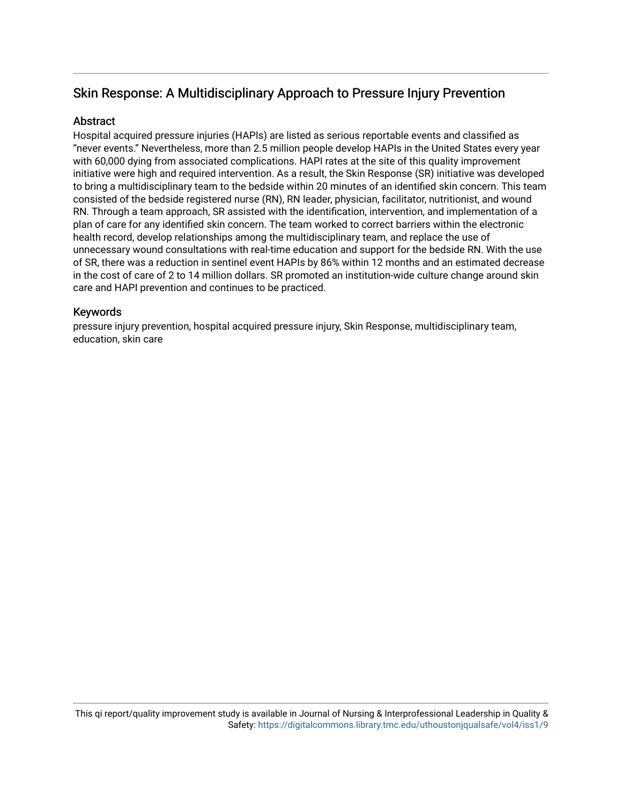# Skin Response: A Multidisciplinary Approach to Pressure Injury Prevention

# Abstract

Hospital acquired pressure injuries (HAPIs) are listed as serious reportable events and classified as "never events." Nevertheless, more than 2.5 million people develop HAPIs in the United States every year with 60,000 dying from associated complications. HAPI rates at the site of this quality improvement initiative were high and required intervention. As a result, the Skin Response (SR) initiative was developed to bring a multidisciplinary team to the bedside within 20 minutes of an identified skin concern. This team consisted of the bedside registered nurse (RN), RN leader, physician, facilitator, nutritionist, and wound RN. Through a team approach, SR assisted with the identification, intervention, and implementation of a plan of care for any identified skin concern. The team worked to correct barriers within the electronic health record, develop relationships among the multidisciplinary team, and replace the use of unnecessary wound consultations with real-time education and support for the bedside RN. With the use of SR, there was a reduction in sentinel event HAPIs by 86% within 12 months and an estimated decrease in the cost of care of 2 to 14 million dollars. SR promoted an institution-wide culture change around skin care and HAPI prevention and continues to be practiced.

# Keywords

pressure injury prevention, hospital acquired pressure injury, Skin Response, multidisciplinary team, education, skin care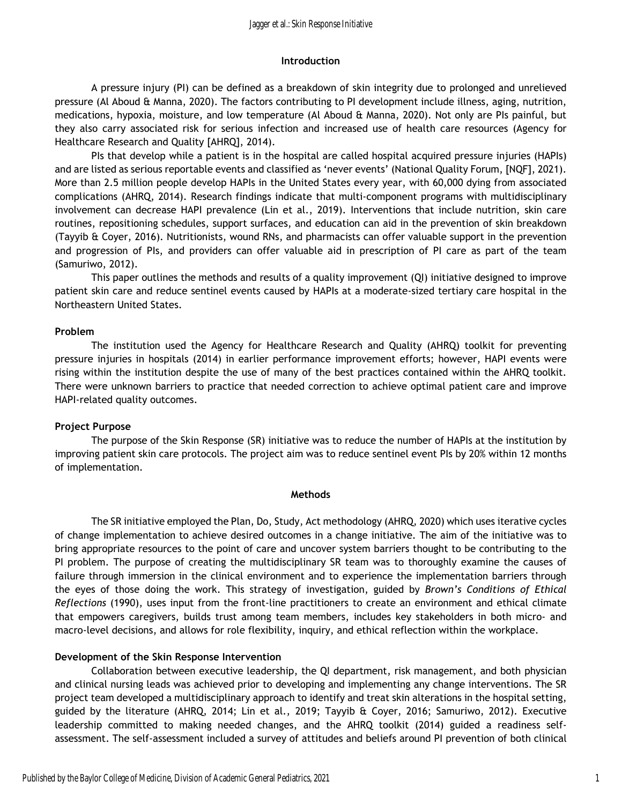#### **Introduction**

 A pressure injury (PI) can be defined as a breakdown of skin integrity due to prolonged and unrelieved pressure (Al Aboud & Manna, 2020). The factors contributing to PI development include illness, aging, nutrition, medications, hypoxia, moisture, and low temperature (Al Aboud & Manna, 2020). Not only are PIs painful, but they also carry associated risk for serious infection and increased use of health care resources (Agency for Healthcare Research and Quality [AHRQ], 2014).

PIs that develop while a patient is in the hospital are called hospital acquired pressure injuries (HAPIs) and are listed as serious reportable events and classified as 'never events' (National Quality Forum, [NQF], 2021). More than 2.5 million people develop HAPIs in the United States every year, with 60,000 dying from associated complications (AHRQ, 2014). Research findings indicate that multi-component programs with multidisciplinary involvement can decrease HAPI prevalence (Lin et al., 2019). Interventions that include nutrition, skin care routines, repositioning schedules, support surfaces, and education can aid in the prevention of skin breakdown (Tayyib & Coyer, 2016). Nutritionists, wound RNs, and pharmacists can offer valuable support in the prevention and progression of PIs, and providers can offer valuable aid in prescription of PI care as part of the team (Samuriwo, 2012).

 This paper outlines the methods and results of a quality improvement (QI) initiative designed to improve patient skin care and reduce sentinel events caused by HAPIs at a moderate-sized tertiary care hospital in the Northeastern United States.

#### **Problem**

 The institution used the Agency for Healthcare Research and Quality (AHRQ) toolkit for preventing pressure injuries in hospitals (2014) in earlier performance improvement efforts; however, HAPI events were rising within the institution despite the use of many of the best practices contained within the AHRQ toolkit. There were unknown barriers to practice that needed correction to achieve optimal patient care and improve HAPI-related quality outcomes.

# **Project Purpose**

 The purpose of the Skin Response (SR) initiative was to reduce the number of HAPIs at the institution by improving patient skin care protocols. The project aim was to reduce sentinel event PIs by 20% within 12 months of implementation.

#### **Methods**

 The SR initiative employed the Plan, Do, Study, Act methodology (AHRQ, 2020) which uses iterative cycles of change implementation to achieve desired outcomes in a change initiative. The aim of the initiative was to bring appropriate resources to the point of care and uncover system barriers thought to be contributing to the PI problem. The purpose of creating the multidisciplinary SR team was to thoroughly examine the causes of failure through immersion in the clinical environment and to experience the implementation barriers through the eyes of those doing the work. This strategy of investigation, guided by *Brown's Conditions of Ethical Reflections* (1990), uses input from the front-line practitioners to create an environment and ethical climate that empowers caregivers, builds trust among team members, includes key stakeholders in both micro- and macro-level decisions, and allows for role flexibility, inquiry, and ethical reflection within the workplace.

#### **Development of the Skin Response Intervention**

 Collaboration between executive leadership, the QI department, risk management, and both physician and clinical nursing leads was achieved prior to developing and implementing any change interventions. The SR project team developed a multidisciplinary approach to identify and treat skin alterations in the hospital setting, guided by the literature (AHRQ, 2014; Lin et al., 2019; Tayyib & Coyer, 2016; Samuriwo, 2012). Executive leadership committed to making needed changes, and the AHRQ toolkit (2014) guided a readiness selfassessment. The self-assessment included a survey of attitudes and beliefs around PI prevention of both clinical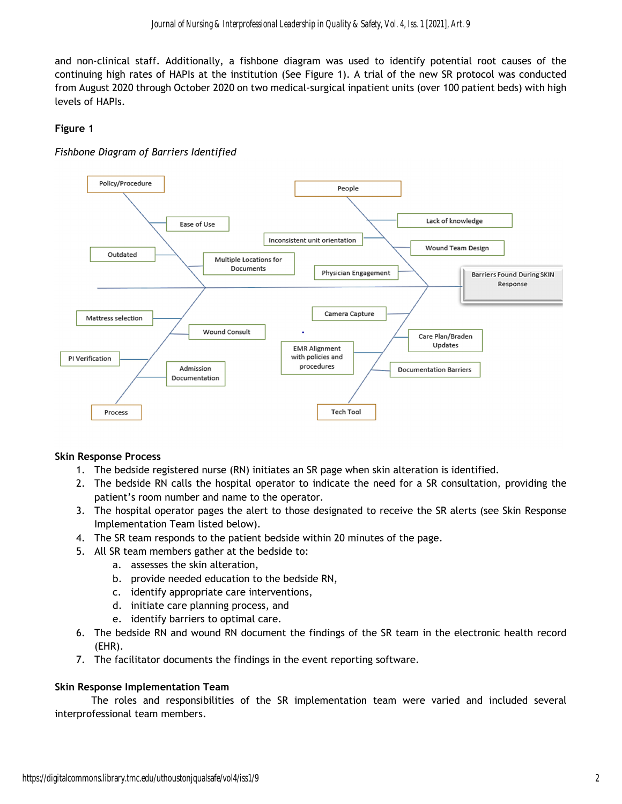and non-clinical staff. Additionally, a fishbone diagram was used to identify potential root causes of the continuing high rates of HAPIs at the institution (See Figure 1). A trial of the new SR protocol was conducted from August 2020 through October 2020 on two medical-surgical inpatient units (over 100 patient beds) with high levels of HAPIs.

# **Figure 1**

# *Fishbone Diagram of Barriers Identified*



# **Skin Response Process**

- 1. The bedside registered nurse (RN) initiates an SR page when skin alteration is identified.
- 2. The bedside RN calls the hospital operator to indicate the need for a SR consultation, providing the patient's room number and name to the operator.
- 3. The hospital operator pages the alert to those designated to receive the SR alerts (see Skin Response Implementation Team listed below).
- 4. The SR team responds to the patient bedside within 20 minutes of the page.
- 5. All SR team members gather at the bedside to:
	- a. assesses the skin alteration,
	- b. provide needed education to the bedside RN,
	- c. identify appropriate care interventions,
	- d. initiate care planning process, and
	- e. identify barriers to optimal care.
- 6. The bedside RN and wound RN document the findings of the SR team in the electronic health record (EHR).
- 7. The facilitator documents the findings in the event reporting software.

# **Skin Response Implementation Team**

 The roles and responsibilities of the SR implementation team were varied and included several interprofessional team members.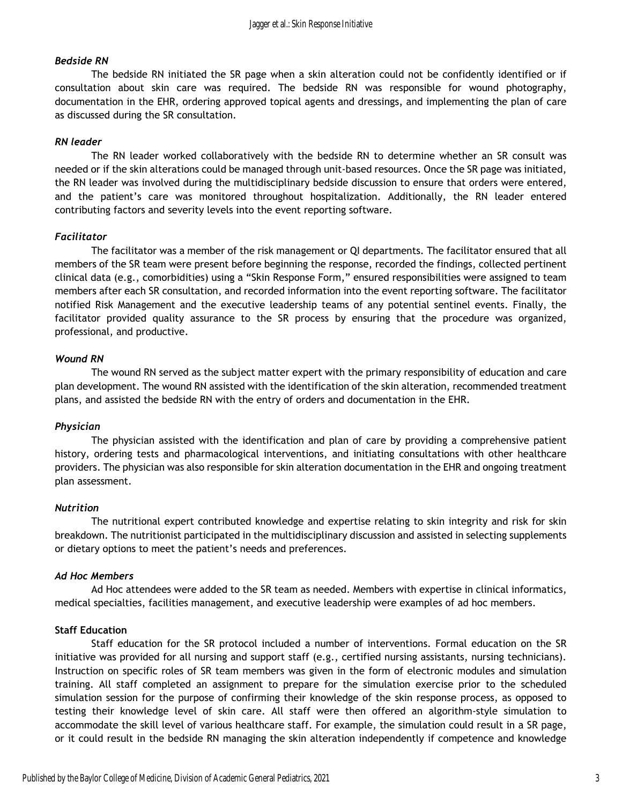### *Bedside RN*

 The bedside RN initiated the SR page when a skin alteration could not be confidently identified or if consultation about skin care was required. The bedside RN was responsible for wound photography, documentation in the EHR, ordering approved topical agents and dressings, and implementing the plan of care as discussed during the SR consultation.

#### *RN leader*

 The RN leader worked collaboratively with the bedside RN to determine whether an SR consult was needed or if the skin alterations could be managed through unit-based resources. Once the SR page was initiated, the RN leader was involved during the multidisciplinary bedside discussion to ensure that orders were entered, and the patient's care was monitored throughout hospitalization. Additionally, the RN leader entered contributing factors and severity levels into the event reporting software.

#### *Facilitator*

 The facilitator was a member of the risk management or QI departments. The facilitator ensured that all members of the SR team were present before beginning the response, recorded the findings, collected pertinent clinical data (e.g., comorbidities) using a "Skin Response Form," ensured responsibilities were assigned to team members after each SR consultation, and recorded information into the event reporting software. The facilitator notified Risk Management and the executive leadership teams of any potential sentinel events. Finally, the facilitator provided quality assurance to the SR process by ensuring that the procedure was organized, professional, and productive.

#### *Wound RN*

 The wound RN served as the subject matter expert with the primary responsibility of education and care plan development. The wound RN assisted with the identification of the skin alteration, recommended treatment plans, and assisted the bedside RN with the entry of orders and documentation in the EHR.

#### *Physician*

 The physician assisted with the identification and plan of care by providing a comprehensive patient history, ordering tests and pharmacological interventions, and initiating consultations with other healthcare providers. The physician was also responsible for skin alteration documentation in the EHR and ongoing treatment plan assessment.

#### *Nutrition*

 The nutritional expert contributed knowledge and expertise relating to skin integrity and risk for skin breakdown. The nutritionist participated in the multidisciplinary discussion and assisted in selecting supplements or dietary options to meet the patient's needs and preferences.

#### *Ad Hoc Members*

 Ad Hoc attendees were added to the SR team as needed. Members with expertise in clinical informatics, medical specialties, facilities management, and executive leadership were examples of ad hoc members.

#### **Staff Education**

 Staff education for the SR protocol included a number of interventions. Formal education on the SR initiative was provided for all nursing and support staff (e.g., certified nursing assistants, nursing technicians). Instruction on specific roles of SR team members was given in the form of electronic modules and simulation training. All staff completed an assignment to prepare for the simulation exercise prior to the scheduled simulation session for the purpose of confirming their knowledge of the skin response process, as opposed to testing their knowledge level of skin care. All staff were then offered an algorithm-style simulation to accommodate the skill level of various healthcare staff. For example, the simulation could result in a SR page, or it could result in the bedside RN managing the skin alteration independently if competence and knowledge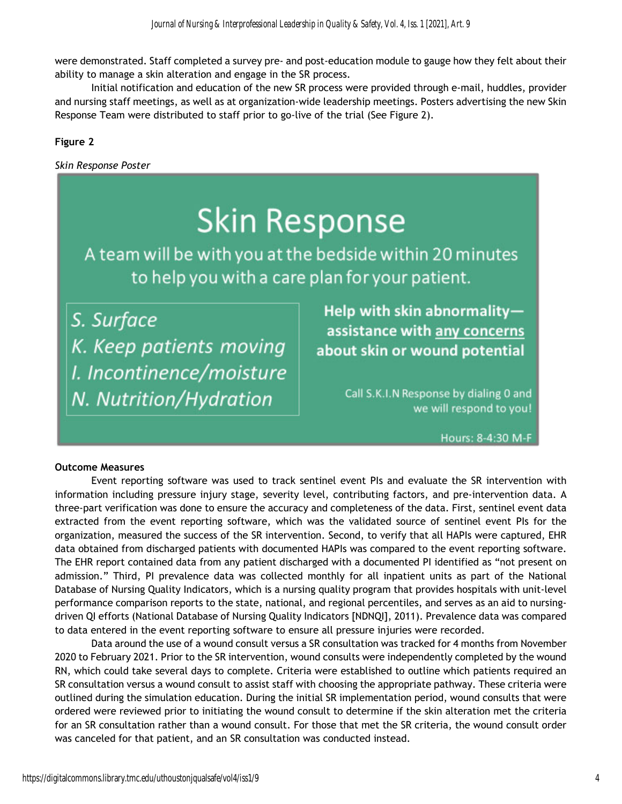were demonstrated. Staff completed a survey pre- and post-education module to gauge how they felt about their ability to manage a skin alteration and engage in the SR process.

Initial notification and education of the new SR process were provided through e-mail, huddles, provider and nursing staff meetings, as well as at organization-wide leadership meetings. Posters advertising the new Skin Response Team were distributed to staff prior to go-live of the trial (See Figure 2).

# **Figure 2**

*Skin Response Poster* 

# **Skin Response**

A team will be with you at the bedside within 20 minutes to help you with a care plan for your patient.

S. Surface K. Keep patients moving I. Incontinence/moisture N. Nutrition/Hydration

Help with skin abnormalityassistance with any concerns about skin or wound potential

> Call S.K.I.N Response by dialing 0 and we will respond to you!

> > Hours: 8-4:30 M-F

#### **Outcome Measures**

 Event reporting software was used to track sentinel event PIs and evaluate the SR intervention with information including pressure injury stage, severity level, contributing factors, and pre-intervention data. A three-part verification was done to ensure the accuracy and completeness of the data. First, sentinel event data extracted from the event reporting software, which was the validated source of sentinel event PIs for the organization, measured the success of the SR intervention. Second, to verify that all HAPIs were captured, EHR data obtained from discharged patients with documented HAPIs was compared to the event reporting software. The EHR report contained data from any patient discharged with a documented PI identified as "not present on admission." Third, PI prevalence data was collected monthly for all inpatient units as part of the National Database of Nursing Quality Indicators, which is a nursing quality program that provides hospitals with unit-level performance comparison reports to the state, national, and regional percentiles, and serves as an aid to nursingdriven QI efforts (National Database of Nursing Quality Indicators [NDNQI], 2011). Prevalence data was compared to data entered in the event reporting software to ensure all pressure injuries were recorded.

 Data around the use of a wound consult versus a SR consultation was tracked for 4 months from November 2020 to February 2021. Prior to the SR intervention, wound consults were independently completed by the wound RN, which could take several days to complete. Criteria were established to outline which patients required an SR consultation versus a wound consult to assist staff with choosing the appropriate pathway. These criteria were outlined during the simulation education. During the initial SR implementation period, wound consults that were ordered were reviewed prior to initiating the wound consult to determine if the skin alteration met the criteria for an SR consultation rather than a wound consult. For those that met the SR criteria, the wound consult order was canceled for that patient, and an SR consultation was conducted instead.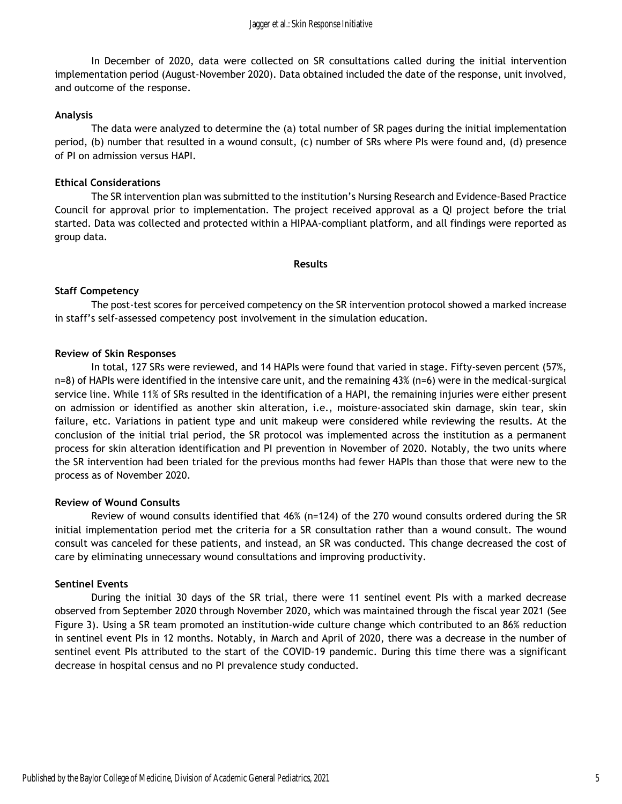In December of 2020, data were collected on SR consultations called during the initial intervention implementation period (August-November 2020). Data obtained included the date of the response, unit involved, and outcome of the response.

#### **Analysis**

 The data were analyzed to determine the (a) total number of SR pages during the initial implementation period, (b) number that resulted in a wound consult, (c) number of SRs where PIs were found and, (d) presence of PI on admission versus HAPI.

#### **Ethical Considerations**

 The SR intervention plan was submitted to the institution's Nursing Research and Evidence-Based Practice Council for approval prior to implementation. The project received approval as a QI project before the trial started. Data was collected and protected within a HIPAA-compliant platform, and all findings were reported as group data*.* 

#### **Results**

#### **Staff Competency**

The post-test scores for perceived competency on the SR intervention protocol showed a marked increase in staff's self-assessed competency post involvement in the simulation education.

#### **Review of Skin Responses**

 In total, 127 SRs were reviewed, and 14 HAPIs were found that varied in stage. Fifty-seven percent (57%, n=8) of HAPIs were identified in the intensive care unit, and the remaining 43% (n=6) were in the medical-surgical service line. While 11% of SRs resulted in the identification of a HAPI, the remaining injuries were either present on admission or identified as another skin alteration, i.e., moisture-associated skin damage, skin tear, skin failure, etc. Variations in patient type and unit makeup were considered while reviewing the results. At the conclusion of the initial trial period, the SR protocol was implemented across the institution as a permanent process for skin alteration identification and PI prevention in November of 2020. Notably, the two units where the SR intervention had been trialed for the previous months had fewer HAPIs than those that were new to the process as of November 2020.

#### **Review of Wound Consults**

 Review of wound consults identified that 46% (n=124) of the 270 wound consults ordered during the SR initial implementation period met the criteria for a SR consultation rather than a wound consult. The wound consult was canceled for these patients, and instead, an SR was conducted. This change decreased the cost of care by eliminating unnecessary wound consultations and improving productivity.

#### **Sentinel Events**

 During the initial 30 days of the SR trial, there were 11 sentinel event PIs with a marked decrease observed from September 2020 through November 2020, which was maintained through the fiscal year 2021 (See Figure 3). Using a SR team promoted an institution-wide culture change which contributed to an 86% reduction in sentinel event PIs in 12 months. Notably, in March and April of 2020, there was a decrease in the number of sentinel event PIs attributed to the start of the COVID-19 pandemic. During this time there was a significant decrease in hospital census and no PI prevalence study conducted.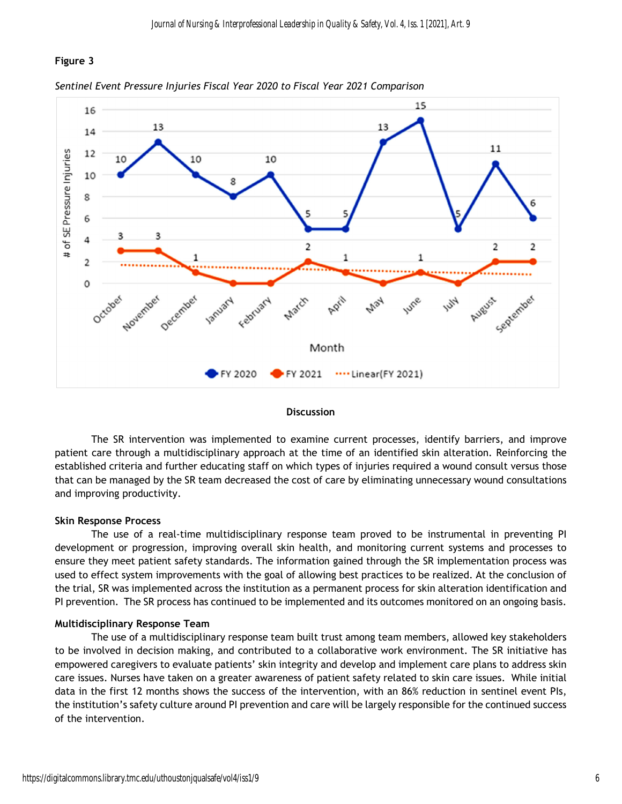# **Figure 3**





#### **Discussion**

 The SR intervention was implemented to examine current processes, identify barriers, and improve patient care through a multidisciplinary approach at the time of an identified skin alteration. Reinforcing the established criteria and further educating staff on which types of injuries required a wound consult versus those that can be managed by the SR team decreased the cost of care by eliminating unnecessary wound consultations and improving productivity.

#### **Skin Response Process**

The use of a real-time multidisciplinary response team proved to be instrumental in preventing PI development or progression, improving overall skin health, and monitoring current systems and processes to ensure they meet patient safety standards. The information gained through the SR implementation process was used to effect system improvements with the goal of allowing best practices to be realized. At the conclusion of the trial, SR was implemented across the institution as a permanent process for skin alteration identification and PI prevention. The SR process has continued to be implemented and its outcomes monitored on an ongoing basis.

#### **Multidisciplinary Response Team**

 The use of a multidisciplinary response team built trust among team members, allowed key stakeholders to be involved in decision making, and contributed to a collaborative work environment. The SR initiative has empowered caregivers to evaluate patients' skin integrity and develop and implement care plans to address skin care issues. Nurses have taken on a greater awareness of patient safety related to skin care issues. While initial data in the first 12 months shows the success of the intervention, with an 86% reduction in sentinel event PIs, the institution's safety culture around PI prevention and care will be largely responsible for the continued success of the intervention.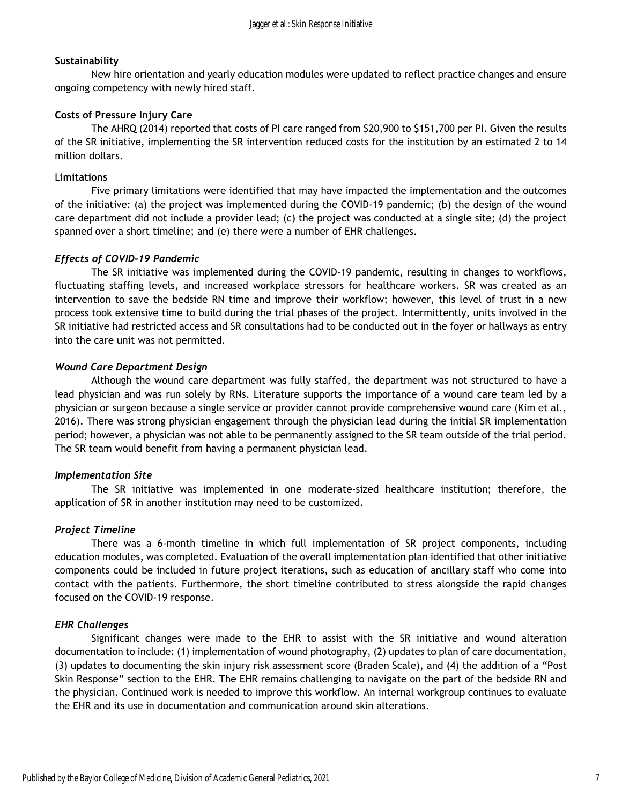# **Sustainability**

 New hire orientation and yearly education modules were updated to reflect practice changes and ensure ongoing competency with newly hired staff.

# **Costs of Pressure Injury Care**

The AHRQ (2014) reported that costs of PI care ranged from \$20,900 to \$151,700 per PI. Given the results of the SR initiative, implementing the SR intervention reduced costs for the institution by an estimated 2 to 14 million dollars.

# L**imitations**

 Five primary limitations were identified that may have impacted the implementation and the outcomes of the initiative: (a) the project was implemented during the COVID-19 pandemic; (b) the design of the wound care department did not include a provider lead; (c) the project was conducted at a single site; (d) the project spanned over a short timeline; and (e) there were a number of EHR challenges.

# *Effects of COVID-19 Pandemic*

 The SR initiative was implemented during the COVID-19 pandemic, resulting in changes to workflows, fluctuating staffing levels, and increased workplace stressors for healthcare workers. SR was created as an intervention to save the bedside RN time and improve their workflow; however, this level of trust in a new process took extensive time to build during the trial phases of the project. Intermittently, units involved in the SR initiative had restricted access and SR consultations had to be conducted out in the foyer or hallways as entry into the care unit was not permitted.

# *Wound Care Department Design*

 Although the wound care department was fully staffed, the department was not structured to have a lead physician and was run solely by RNs. Literature supports the importance of a wound care team led by a physician or surgeon because a single service or provider cannot provide comprehensive wound care (Kim et al., 2016). There was strong physician engagement through the physician lead during the initial SR implementation period; however, a physician was not able to be permanently assigned to the SR team outside of the trial period. The SR team would benefit from having a permanent physician lead.

# *Implementation Site*

 The SR initiative was implemented in one moderate-sized healthcare institution; therefore, the application of SR in another institution may need to be customized.

# *Project Timeline*

 There was a 6-month timeline in which full implementation of SR project components, including education modules, was completed. Evaluation of the overall implementation plan identified that other initiative components could be included in future project iterations, such as education of ancillary staff who come into contact with the patients. Furthermore, the short timeline contributed to stress alongside the rapid changes focused on the COVID-19 response.

# *EHR Challenges*

 Significant changes were made to the EHR to assist with the SR initiative and wound alteration documentation to include: (1) implementation of wound photography, (2) updates to plan of care documentation, (3) updates to documenting the skin injury risk assessment score (Braden Scale), and (4) the addition of a "Post Skin Response" section to the EHR. The EHR remains challenging to navigate on the part of the bedside RN and the physician. Continued work is needed to improve this workflow. An internal workgroup continues to evaluate the EHR and its use in documentation and communication around skin alterations.